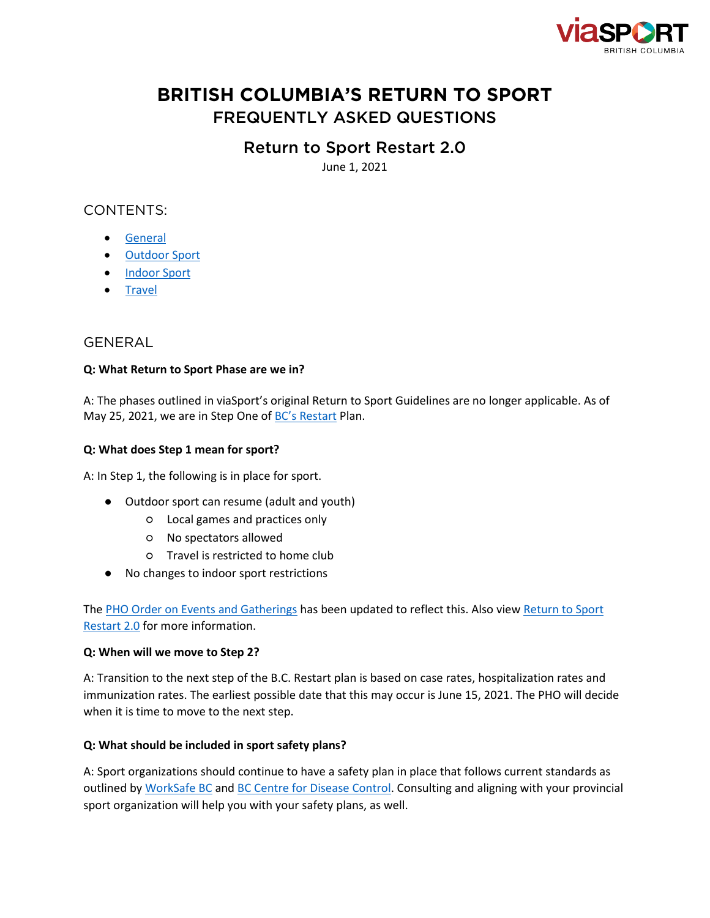

# **BRITISH COLUMBIA'S RETURN TO SPORT** FREQUENTLY ASKED QUESTIONS

# Return to Sport Restart 2.0

June 1, 2021

# CONTENTS:

- [General](#page-0-0)
- [Outdoor Sport](#page-1-0)
- [Indoor Sport](#page-2-0)
- [Travel](#page-3-0)

# <span id="page-0-0"></span>GENERAL

# **Q: What Return to Sport Phase are we in?**

A: The phases outlined in viaSport's original Return to Sport Guidelines are no longer applicable. As of May 25, 2021, we are in Step One of **[BC's Restart](https://www2.gov.bc.ca/gov/content/covid-19/info/restart) Plan**.

# **Q: What does Step 1 mean for sport?**

A: In Step 1, the following is in place for sport.

- Outdoor sport can resume (adult and youth)
	- Local games and practices only
	- No spectators allowed
	- Travel is restricted to home club
- No changes to indoor sport restrictions

The [PHO Order on Events and Gatherings](https://www2.gov.bc.ca/assets/gov/health/about-bc-s-health-care-system/office-of-the-provincial-health-officer/covid-19/covid-19-pho-order-gatherings-events.pdf) has been updated to reflect this. Also view Return to Sport [Restart 2.0](http://www.viasport.ca/return-to-sport-2021) for more information.

# **Q: When will we move to Step 2?**

A: Transition to the next step of the B.C. Restart plan is based on case rates, hospitalization rates and immunization rates. The earliest possible date that this may occur is June 15, 2021. The PHO will decide when it is time to move to the next step.

# **Q: What should be included in sport safety plans?**

A: Sport organizations should continue to have a safety plan in place that follows current standards as outlined by [WorkSafe BC](https://www.worksafebc.com/en/resources/health-safety/checklist/covid-19-safety-plan?lang=en) and [BC Centre for Disease Control.](http://www.bccdc.ca/health-info/diseases-conditions/covid-19/prevention-risks/cleaning-and-disinfecting) Consulting and aligning with your provincial sport organization will help you with your safety plans, as well.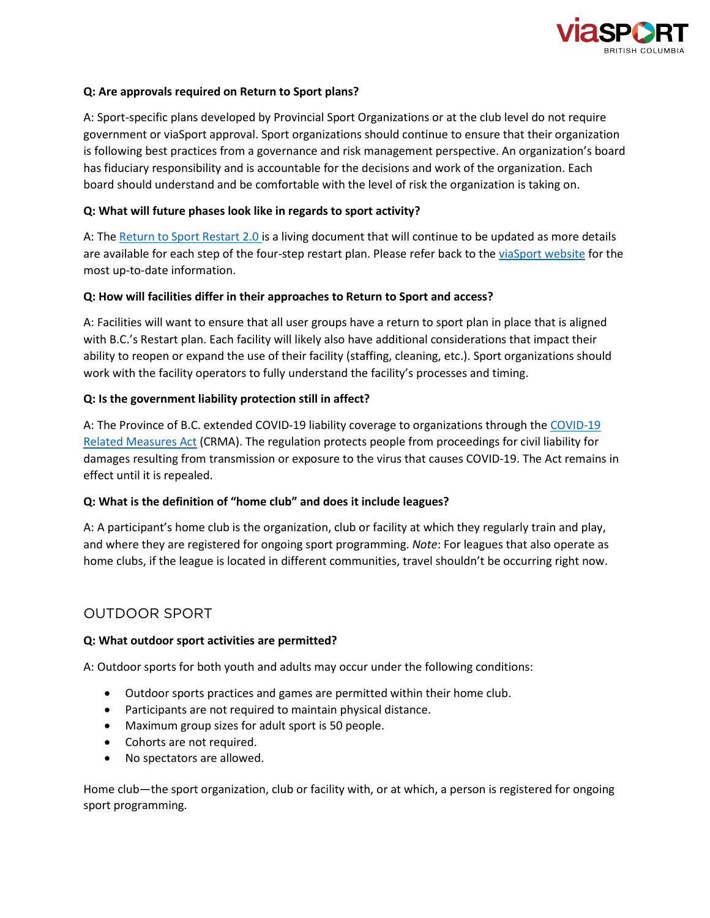

### **Q: Are approvals required on Return to Sport plans?**

A: Sport-specific plans developed by Provincial Sport Organizations or at the club level do not require government or viaSport approval. Sport organizations should continue to ensure that their organization is following best practices from a governance and risk management perspective. An organization's board has fiduciary responsibility and is accountable for the decisions and work of the organization. Each board should understand and be comfortable with the level of risk the organization is taking on.

### **Q: What will future phases look like in regards to sport activity?**

A: The [Return to Sport Restart 2.0 i](http://www.viasport.ca/return-to-sport-2021)s a living document that will continue to be updated as more details are available for each step of the four-step restart plan. Please refer back to the [viaSport website](https://www.viasport.ca/return-sport) for the most up-to-date information.

#### **Q: How will facilities differ in their approaches to Return to Sport and access?**

A: Facilities will want to ensure that all user groups have a return to sport plan in place that is aligned with B.C.'s Restart plan. Each facility will likely also have additional considerations that impact their ability to reopen or expand the use of their facility (staffing, cleaning, etc.). Sport organizations should work with the facility operators to fully understand the facility's processes and timing.

#### **Q: Is the government liability protection still in affect?**

A: The Province of B.C. extended COVID-19 liability coverage to organizations through the COVID-19 [Related Measures Act](https://www.bclaws.gov.bc.ca/civix/document/id/oic/oic_cur/0459_2020?utm_source=PSO+Connector&utm_campaign=7c26df1d8d-Sportscape_2019_COPY_01&utm_medium=email&utm_term=0_9305c55a53-7c26df1d8d-405911030) (CRMA). The regulation protects people from proceedings for civil liability for damages resulting from transmission or exposure to the virus that causes COVID-19. The Act remains in effect until it is repealed.

#### **Q: What is the definition of "home club" and does it include leagues?**

A: A participant's home club is the organization, club or facility at which they regularly train and play, and where they are registered for ongoing sport programming. *Note*: For leagues that also operate as home clubs, if the league is located in different communities, travel shouldn't be occurring right now.

# <span id="page-1-0"></span>OUTDOOR SPORT

#### **Q: What outdoor sport activities are permitted?**

A: Outdoor sports for both youth and adults may occur under the following conditions:

- Outdoor sports practices and games are permitted within their home club.
- Participants are not required to maintain physical distance.
- Maximum group sizes for adult sport is 50 people.
- Cohorts are not required.
- No spectators are allowed.

Home club—the sport organization, club or facility with, or at which, a person is registered for ongoing sport programming.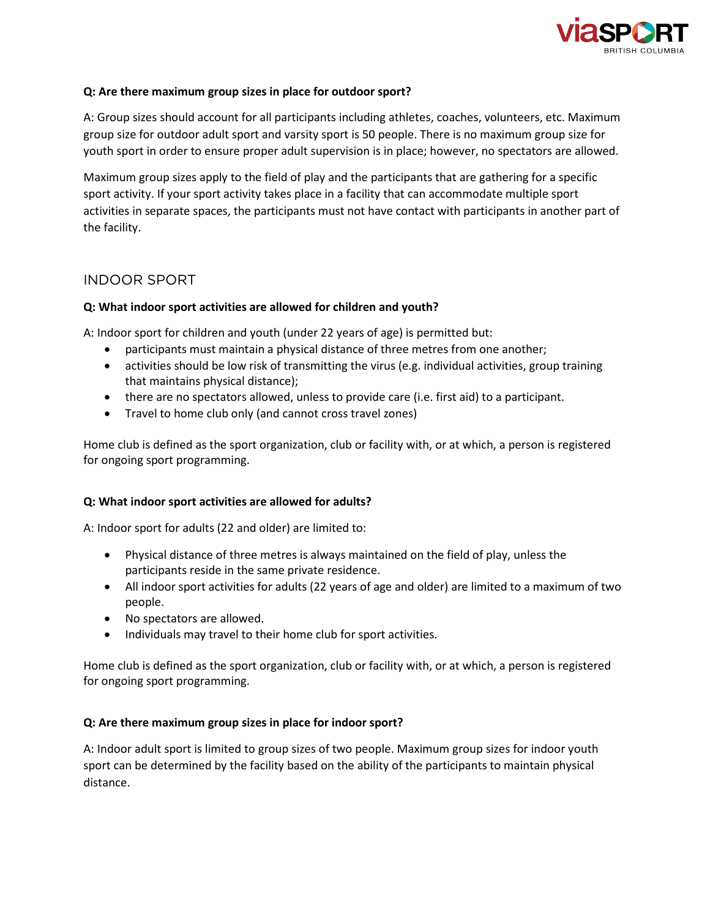

### **Q: Are there maximum group sizes in place for outdoor sport?**

A: Group sizes should account for all participants including athletes, coaches, volunteers, etc. Maximum group size for outdoor adult sport and varsity sport is 50 people. There is no maximum group size for youth sport in order to ensure proper adult supervision is in place; however, no spectators are allowed.

Maximum group sizes apply to the field of play and the participants that are gathering for a specific sport activity. If your sport activity takes place in a facility that can accommodate multiple sport activities in separate spaces, the participants must not have contact with participants in another part of the facility.

# <span id="page-2-0"></span>INDOOR SPORT

# **Q: What indoor sport activities are allowed for children and youth?**

A: Indoor sport for children and youth (under 22 years of age) is permitted but:

- participants must maintain a physical distance of three metres from one another;
- activities should be low risk of transmitting the virus (e.g. individual activities, group training that maintains physical distance);
- there are no spectators allowed, unless to provide care (i.e. first aid) to a participant.
- Travel to home club only (and cannot cross travel zones)

Home club is defined as the sport organization, club or facility with, or at which, a person is registered for ongoing sport programming.

#### **Q: What indoor sport activities are allowed for adults?**

A: Indoor sport for adults (22 and older) are limited to:

- Physical distance of three metres is always maintained on the field of play, unless the participants reside in the same private residence.
- All indoor sport activities for adults (22 years of age and older) are limited to a maximum of two people.
- No spectators are allowed.
- Individuals may travel to their home club for sport activities.

Home club is defined as the sport organization, club or facility with, or at which, a person is registered for ongoing sport programming.

# **Q: Are there maximum group sizes in place for indoor sport?**

A: Indoor adult sport is limited to group sizes of two people. Maximum group sizes for indoor youth sport can be determined by the facility based on the ability of the participants to maintain physical distance.